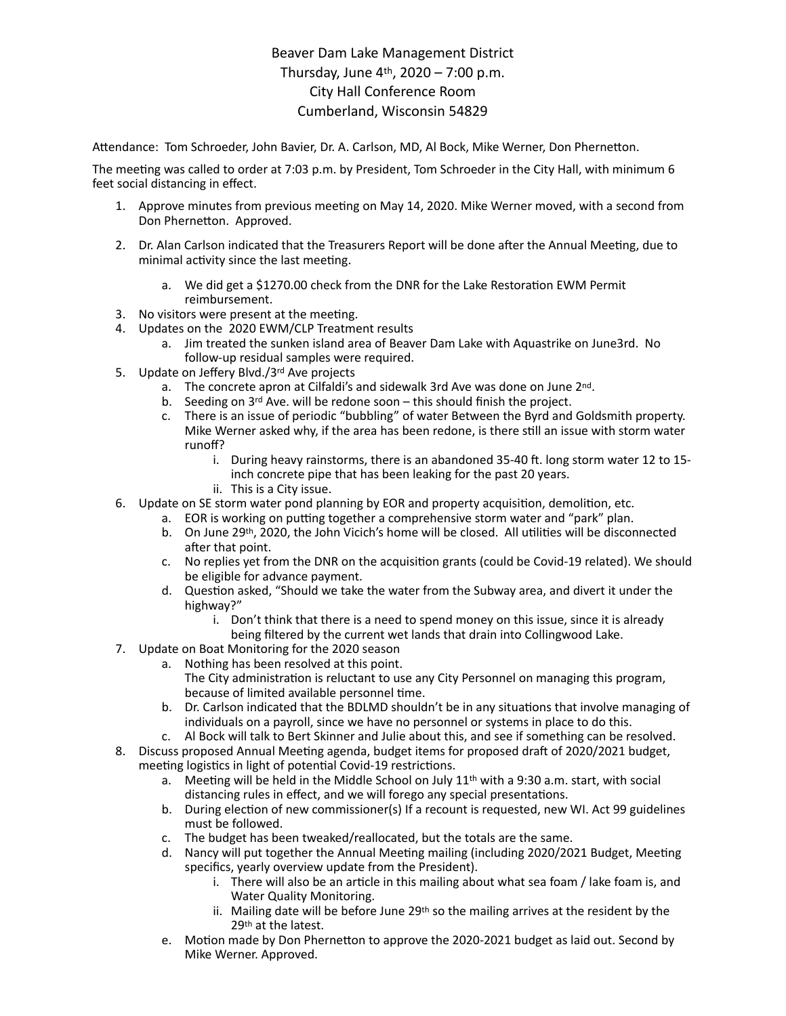## Beaver Dam Lake Management District Thursday, June  $4^{th}$ , 2020 – 7:00 p.m. City Hall Conference Room Cumberland, Wisconsin 54829

Attendance: Tom Schroeder, John Bavier, Dr. A. Carlson, MD, Al Bock, Mike Werner, Don Phernetton.

The meeting was called to order at 7:03 p.m. by President, Tom Schroeder in the City Hall, with minimum 6 feet social distancing in effect.

- 1. Approve minutes from previous meeting on May 14, 2020. Mike Werner moved, with a second from Don Phernetton. Approved.
- 2. Dr. Alan Carlson indicated that the Treasurers Report will be done after the Annual Meeting, due to minimal activity since the last meeting.
	- a. We did get a \$1270.00 check from the DNR for the Lake Restoration EWM Permit reimbursement.
- 3. No visitors were present at the meeting.
- 4. Updates on the 2020 EWM/CLP Treatment results
	- a. Jim treated the sunken island area of Beaver Dam Lake with Aquastrike on June3rd. No follow-up residual samples were required.
- 5. Update on Jeffery Blvd./3rd Ave projects
	- a. The concrete apron at Cilfaldi's and sidewalk 3rd Ave was done on June 2nd.
	- b. Seeding on  $3^{rd}$  Ave. will be redone soon this should finish the project.
	- c. There is an issue of periodic "bubbling" of water Between the Byrd and Goldsmith property. Mike Werner asked why, if the area has been redone, is there still an issue with storm water runoff?
		- i. During heavy rainstorms, there is an abandoned 35-40 ft. long storm water 12 to 15inch concrete pipe that has been leaking for the past 20 years.
		- ii. This is a City issue.
- 6. Update on SE storm water pond planning by EOR and property acquisition, demolition, etc.
	- a. EOR is working on putting together a comprehensive storm water and "park" plan.
		- b. On June 29th, 2020, the John Vicich's home will be closed. All utilities will be disconnected after that point.
		- c. No replies yet from the DNR on the acquisition grants (could be Covid-19 related). We should be eligible for advance payment.
		- d. Question asked, "Should we take the water from the Subway area, and divert it under the highway?"
			- i. Don't think that there is a need to spend money on this issue, since it is already being filtered by the current wet lands that drain into Collingwood Lake.
- 7. Update on Boat Monitoring for the 2020 season
	- a. Nothing has been resolved at this point. The City administration is reluctant to use any City Personnel on managing this program, because of limited available personnel time.
	- b. Dr. Carlson indicated that the BDLMD shouldn't be in any situations that involve managing of individuals on a payroll, since we have no personnel or systems in place to do this.
	- c. Al Bock will talk to Bert Skinner and Julie about this, and see if something can be resolved.
- 8. Discuss proposed Annual Meeting agenda, budget items for proposed draft of 2020/2021 budget, meeting logistics in light of potential Covid-19 restrictions.
	- a. Meeting will be held in the Middle School on July  $11<sup>th</sup>$  with a 9:30 a.m. start, with social distancing rules in effect, and we will forego any special presentations.
	- b. During election of new commissioner(s) If a recount is requested, new WI. Act 99 guidelines must be followed.
	- c. The budget has been tweaked/reallocated, but the totals are the same.
	- d. Nancy will put together the Annual Meeting mailing (including 2020/2021 Budget, Meeting specifics, yearly overview update from the President).
		- i. There will also be an article in this mailing about what sea foam / lake foam is, and Water Quality Monitoring.
		- ii. Mailing date will be before June 29<sup>th</sup> so the mailing arrives at the resident by the 29th at the latest.
	- e. Motion made by Don Phernetton to approve the 2020-2021 budget as laid out. Second by Mike Werner. Approved.